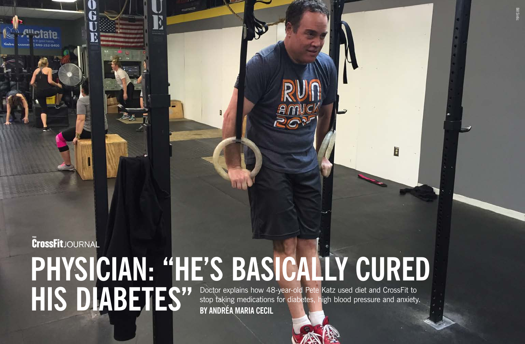# **CrossFit**JOURNAL **PHYSICIAN: "HE'S BASICALLY CURED HIS DIABETES**<sup>77</sup> **Doctor explains how 48**<br>BY ANDRÉA MARIA CECIL Doctor explains how 48-year-old Pete Katz used diet and CrossFit to stop taking medications for diabetes, high blood pressure and anxiety.

 $\mathbf{D}$ 



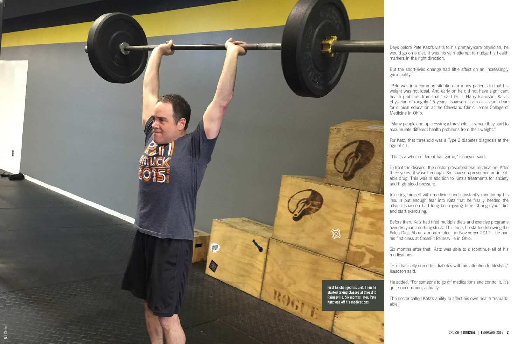Days before Pete Katz's visits to his primary-care physician, he would go on a diet. It was his vain attempt to nudge his health markers in the right direction.

But the short-lived change had little effect on an increasingly

"Pete was in a common situation for many patients in that his weight was not ideal. And early on he did not have significant health problems from that," said Dr. J. Harry Isaacson, Katz's physician of roughly 15 years. Isaacson is also assistant dean for clinical education at the Cleveland Clinic Lerner College of

"Many people end up crossing a threshold … where they start to accumulate different health problems from their weight."

For Katz, that threshold was a Type 2 diabetes diagnosis at the

"That's a whole different ball game," Isaacson said.

To treat the disease, the doctor prescribed oral medication. After three years, it wasn't enough. So Isaacson prescribed an inject able drug. This was in addition to Katz's treatments for anxiety and high blood pressure.



Injecting himself with medicine and constantly monitoring his insulin put enough fear into Katz that he finally heeded the advice Isaacson had long been giving him: Change your diet

Before then, Katz had tried multiple diets and exercise programs over the years; nothing stuck. This time, he started following the Paleo Diet. About a month later—in November 2012—he had his first class at CrossFit Painesville in Ohio.

Six months after that, Katz was able to discontinue all of his

"He's basically cured his diabetes with his attention to lifestyle,"

He added: "For someone to go off medications and control it, it's quite uncommon, actually."

The doctor called Katz's ability to affect his own health "remark -